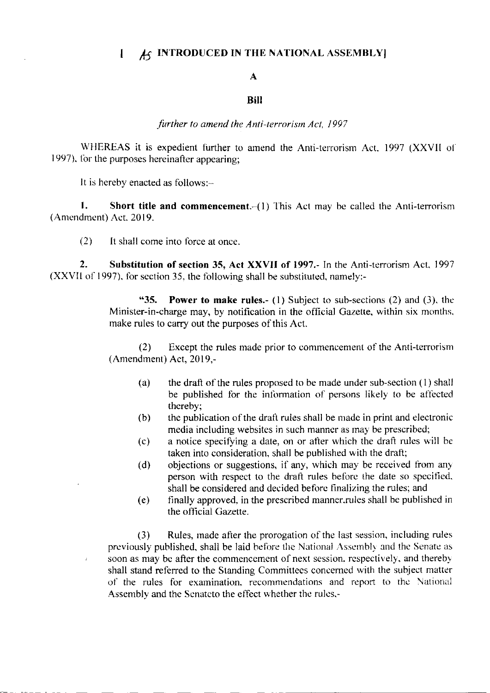# $I_{\mathcal{A}}$  INTRODUCED IN THE NATIONAL ASSEMBLY

#### A

### Biil

### further to amend the Anti-terrorism Act, 1997

WHEREAS it is expedient further to amend the Anti-terrorism Act, 1997 (XXVII of 1997), for the purposes hereinafter appearing;

It is hereby enacted as follows:-

J.

1. Short title and commencement. $-(1)$  This Act may be called the Anti-terrorism (Amendment) Act, 2019.

 $(2)$  It shall come into force at once.

2. Substitution of section 35, Act XXVII of 1997.- In the Anti-terrorism Act, 1997 (XXVII of 1997), for section 35, the following shall be substituted, namely:-

> "35. Power to make rules.- (1) Subject to sub-sections (2) and (3), the Minister-in-charge may, by notification in the official Gazette, within six months. make rules to carry out the purposes of this Act.

> $(2)$  Except the rules made prior to commencement of the Anti-terrorism  $(A$ mendment $)$  Act, 2019,-

- (a) the draft of the rules proposed to be made under sub-section (l) shall be published for the information of persons likely to be affected thereby;<br>(b) the publication of the draft rules shall be made in print and electronic
- media including websites in such manner as may be prescribed;
- (c) a notice specifying a date, on or after which the draft rules will be taken into consideration, shall be published with the draft;
- (d) objections or suggestions, if any, which may be received from any person with respect to the draft rules before the date so specified. shall be considered and decided before finalizing the rules; and
- (e) finally approved. in the prescribed manner.rules shall be published in the official Gazette.

(3) Rules, rnade after the prorogation of the Iast scssion, including rules previously published, shall be laid before the National Assembly and the Senate as soon as may be after the commencement of next session. respectively, and thereby shall stand referred to the Standing Committees concerned with the subject matter of the rules for examination. recomnrendations and teport to thc \ational Assembly and the Senateto the effect whether the rules,-